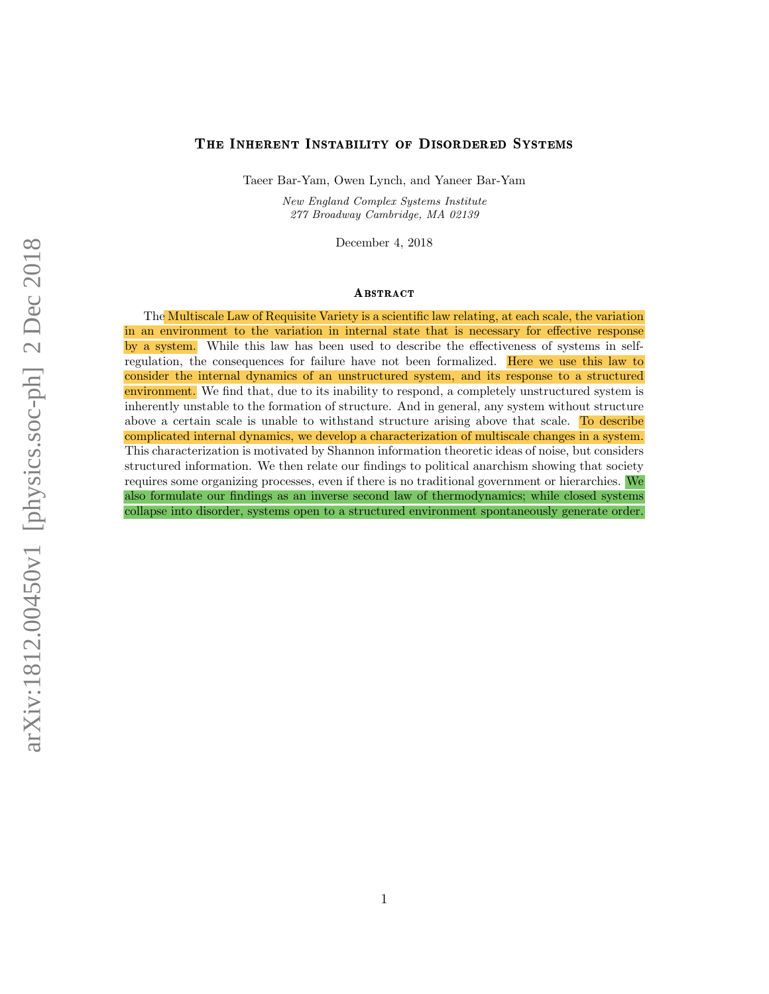#### The Inherent Instability of Disordered Systems

Taeer Bar-Yam, Owen Lynch, and Yaneer Bar-Yam

New England Complex Systems Institute 277 Broadway Cambridge, MA 02139

December 4, 2018

#### **ABSTRACT**

The Multiscale Law of Requisite Variety is a scientific law relating, at each scale, the variation in an environment to the variation in internal state that is necessary for effective response by a system. While this law has been used to describe the effectiveness of systems in selfregulation, the consequences for failure have not been formalized. Here we use this law to consider the internal dynamics of an unstructured system, and its response to a structured environment. We find that, due to its inability to respond, a completely unstructured system is inherently unstable to the formation of structure. And in general, any system without structure above a certain scale is unable to withstand structure arising above that scale. To describe complicated internal dynamics, we develop a characterization of multiscale changes in a system. This characterization is motivated by Shannon information theoretic ideas of noise, but considers structured information. We then relate our findings to political anarchism showing that society requires some organizing processes, even if there is no traditional government or hierarchies. We also formulate our findings as an inverse second law of thermodynamics; while closed systems collapse into disorder, systems open to a structured environment spontaneously generate order.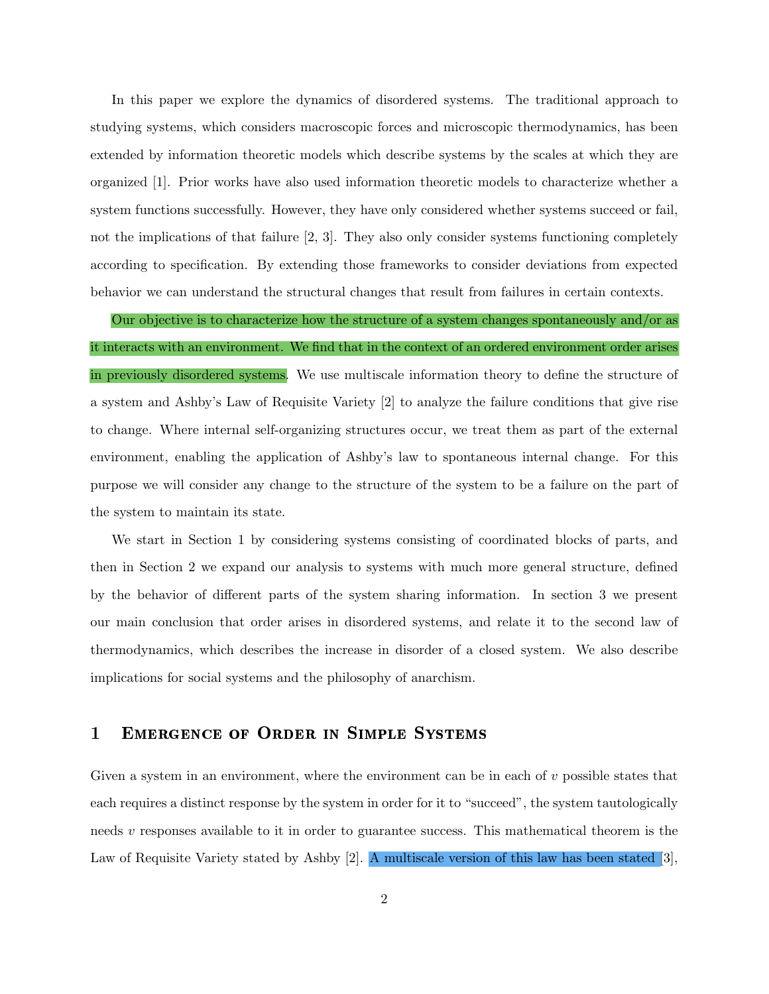In this paper we explore the dynamics of disordered systems. The traditional approach to studying systems, which considers macroscopic forces and microscopic thermodynamics, has been extended by information theoretic models which describe systems by the scales at which they are organized [1]. Prior works have also used information theoretic models to characterize whether a system functions successfully. However, they have only considered whether systems succeed or fail, not the implications of that failure [2, 3]. They also only consider systems functioning completely according to specification. By extending those frameworks to consider deviations from expected behavior we can understand the structural changes that result from failures in certain contexts.

Our objective is to characterize how the structure of a system changes spontaneously and/or as it interacts with an environment. We find that in the context of an ordered environment order arises in previously disordered systems. We use multiscale information theory to define the structure of a system and Ashby's Law of Requisite Variety [2] to analyze the failure conditions that give rise to change. Where internal self-organizing structures occur, we treat them as part of the external environment, enabling the application of Ashby's law to spontaneous internal change. For this purpose we will consider any change to the structure of the system to be a failure on the part of the system to maintain its state.

We start in Section 1 by considering systems consisting of coordinated blocks of parts, and then in Section 2 we expand our analysis to systems with much more general structure, defined by the behavior of different parts of the system sharing information. In section 3 we present our main conclusion that order arises in disordered systems, and relate it to the second law of thermodynamics, which describes the increase in disorder of a closed system. We also describe implications for social systems and the philosophy of anarchism.

## 1 Emergence of Order in Simple Systems

Given a system in an environment, where the environment can be in each of  $v$  possible states that each requires a distinct response by the system in order for it to "succeed", the system tautologically needs  $v$  responses available to it in order to guarantee success. This mathematical theorem is the Law of Requisite Variety stated by Ashby [2]. A multiscale version of this law has been stated [3],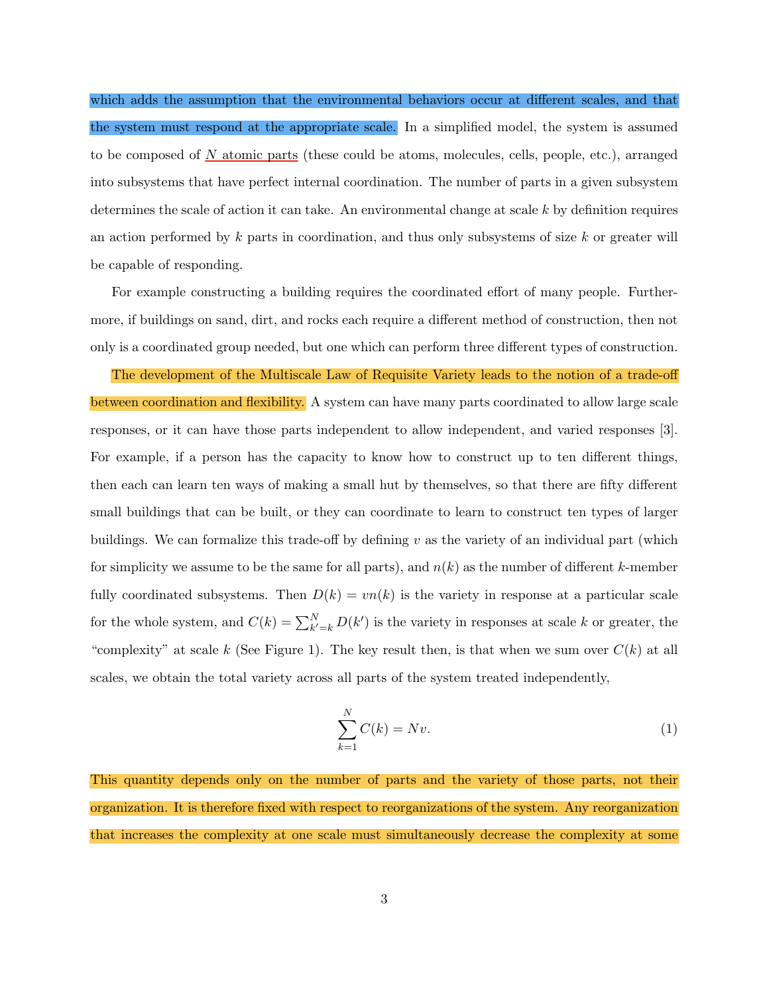which adds the assumption that the environmental behaviors occur at different scales, and that the system must respond at the appropriate scale. In a simplified model, the system is assumed to be composed of  $N$  atomic parts (these could be atoms, molecules, cells, people, etc.), arranged into subsystems that have perfect internal coordination. The number of parts in a given subsystem determines the scale of action it can take. An environmental change at scale  $k$  by definition requires an action performed by  $k$  parts in coordination, and thus only subsystems of size  $k$  or greater will be capable of responding.

For example constructing a building requires the coordinated effort of many people. Furthermore, if buildings on sand, dirt, and rocks each require a different method of construction, then not only is a coordinated group needed, but one which can perform three different types of construction.

The development of the Multiscale Law of Requisite Variety leads to the notion of a trade-off between coordination and flexibility. A system can have many parts coordinated to allow large scale responses, or it can have those parts independent to allow independent, and varied responses [3]. For example, if a person has the capacity to know how to construct up to ten different things, then each can learn ten ways of making a small hut by themselves, so that there are fifty different small buildings that can be built, or they can coordinate to learn to construct ten types of larger buildings. We can formalize this trade-off by defining  $v$  as the variety of an individual part (which for simplicity we assume to be the same for all parts), and  $n(k)$  as the number of different k-member fully coordinated subsystems. Then  $D(k) = vn(k)$  is the variety in response at a particular scale for the whole system, and  $C(k) = \sum_{k'=k}^{N} D(k')$  is the variety in responses at scale k or greater, the "complexity" at scale k (See Figure 1). The key result then, is that when we sum over  $C(k)$  at all scales, we obtain the total variety across all parts of the system treated independently,

$$
\sum_{k=1}^{N} C(k) = Nv.
$$
\n(1)

This quantity depends only on the number of parts and the variety of those parts, not their organization. It is therefore fixed with respect to reorganizations of the system. Any reorganization that increases the complexity at one scale must simultaneously decrease the complexity at some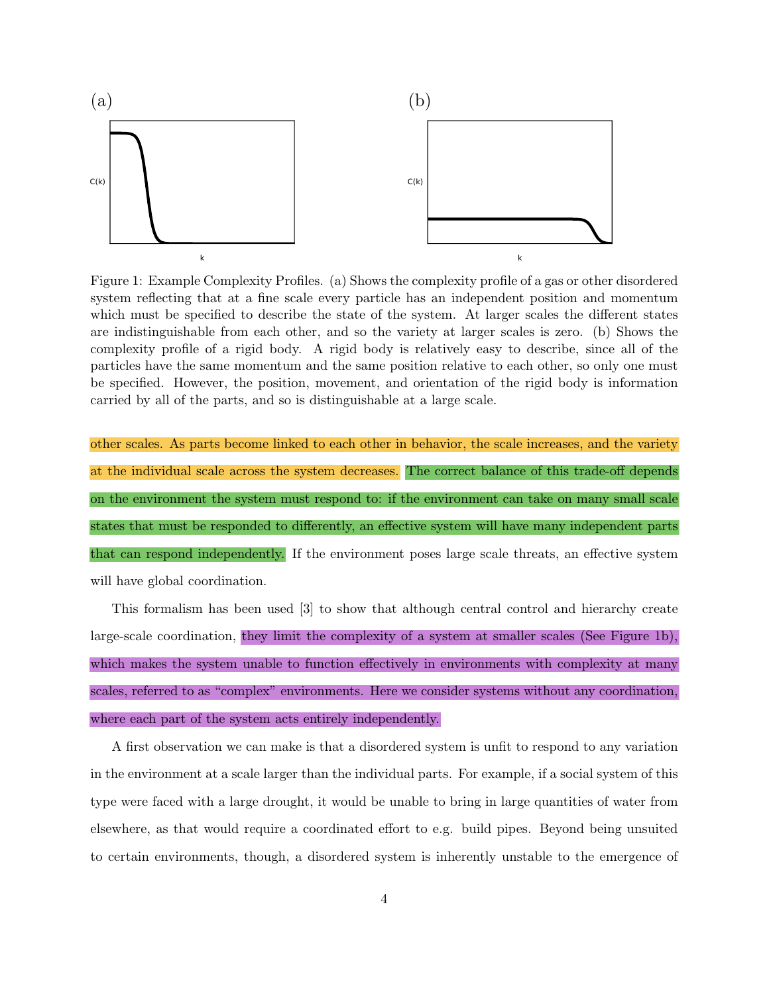

Figure 1: Example Complexity Profiles. (a) Shows the complexity profile of a gas or other disordered system reflecting that at a fine scale every particle has an independent position and momentum which must be specified to describe the state of the system. At larger scales the different states are indistinguishable from each other, and so the variety at larger scales is zero. (b) Shows the complexity profile of a rigid body. A rigid body is relatively easy to describe, since all of the particles have the same momentum and the same position relative to each other, so only one must be specified. However, the position, movement, and orientation of the rigid body is information carried by all of the parts, and so is distinguishable at a large scale.

other scales. As parts become linked to each other in behavior, the scale increases, and the variety at the individual scale across the system decreases. The correct balance of this trade-off depends on the environment the system must respond to: if the environment can take on many small scale states that must be responded to differently, an effective system will have many independent parts that can respond independently. If the environment poses large scale threats, an effective system will have global coordination.

This formalism has been used [3] to show that although central control and hierarchy create large-scale coordination, they limit the complexity of a system at smaller scales (See Figure 1b), which makes the system unable to function effectively in environments with complexity at many scales, referred to as "complex" environments. Here we consider systems without any coordination, where each part of the system acts entirely independently.

A first observation we can make is that a disordered system is unfit to respond to any variation in the environment at a scale larger than the individual parts. For example, if a social system of this type were faced with a large drought, it would be unable to bring in large quantities of water from elsewhere, as that would require a coordinated effort to e.g. build pipes. Beyond being unsuited to certain environments, though, a disordered system is inherently unstable to the emergence of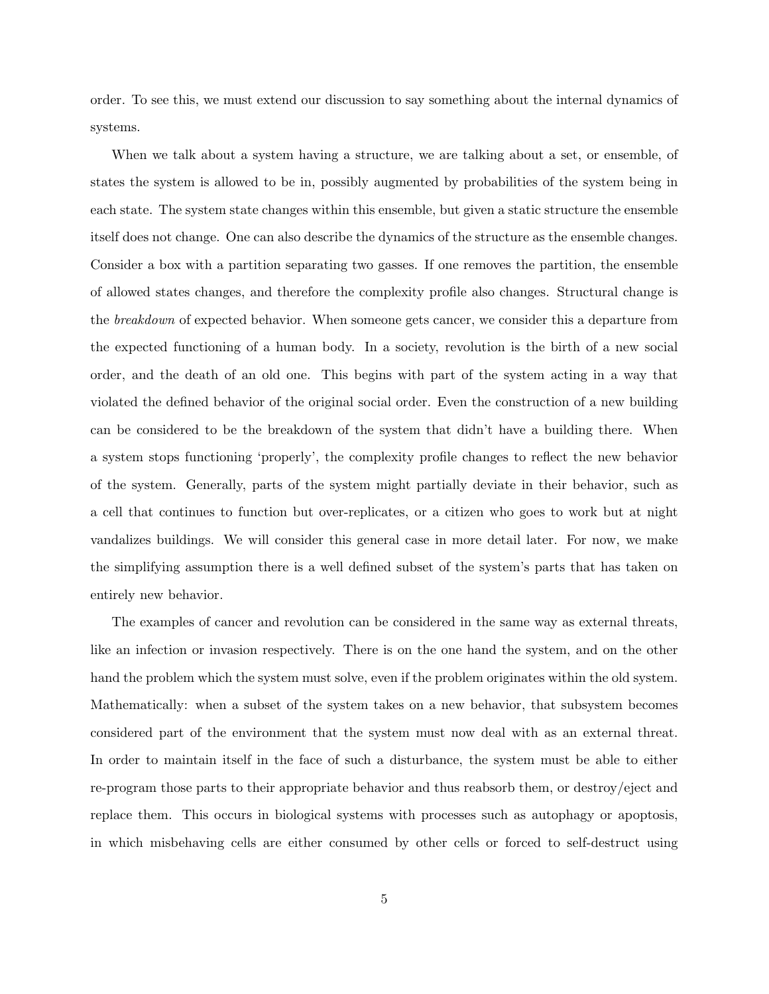order. To see this, we must extend our discussion to say something about the internal dynamics of systems.

When we talk about a system having a structure, we are talking about a set, or ensemble, of states the system is allowed to be in, possibly augmented by probabilities of the system being in each state. The system state changes within this ensemble, but given a static structure the ensemble itself does not change. One can also describe the dynamics of the structure as the ensemble changes. Consider a box with a partition separating two gasses. If one removes the partition, the ensemble of allowed states changes, and therefore the complexity profile also changes. Structural change is the breakdown of expected behavior. When someone gets cancer, we consider this a departure from the expected functioning of a human body. In a society, revolution is the birth of a new social order, and the death of an old one. This begins with part of the system acting in a way that violated the defined behavior of the original social order. Even the construction of a new building can be considered to be the breakdown of the system that didn't have a building there. When a system stops functioning 'properly', the complexity profile changes to reflect the new behavior of the system. Generally, parts of the system might partially deviate in their behavior, such as a cell that continues to function but over-replicates, or a citizen who goes to work but at night vandalizes buildings. We will consider this general case in more detail later. For now, we make the simplifying assumption there is a well defined subset of the system's parts that has taken on entirely new behavior.

The examples of cancer and revolution can be considered in the same way as external threats, like an infection or invasion respectively. There is on the one hand the system, and on the other hand the problem which the system must solve, even if the problem originates within the old system. Mathematically: when a subset of the system takes on a new behavior, that subsystem becomes considered part of the environment that the system must now deal with as an external threat. In order to maintain itself in the face of such a disturbance, the system must be able to either re-program those parts to their appropriate behavior and thus reabsorb them, or destroy/eject and replace them. This occurs in biological systems with processes such as autophagy or apoptosis, in which misbehaving cells are either consumed by other cells or forced to self-destruct using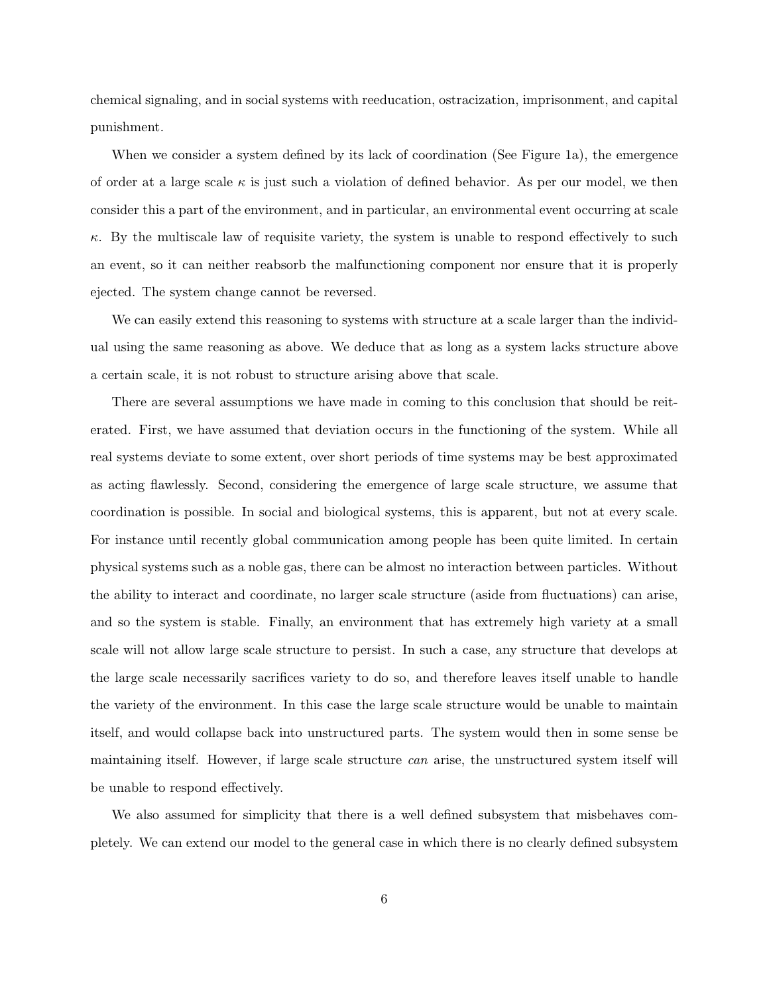chemical signaling, and in social systems with reeducation, ostracization, imprisonment, and capital punishment.

When we consider a system defined by its lack of coordination (See Figure 1a), the emergence of order at a large scale  $\kappa$  is just such a violation of defined behavior. As per our model, we then consider this a part of the environment, and in particular, an environmental event occurring at scale  $\kappa$ . By the multiscale law of requisite variety, the system is unable to respond effectively to such an event, so it can neither reabsorb the malfunctioning component nor ensure that it is properly ejected. The system change cannot be reversed.

We can easily extend this reasoning to systems with structure at a scale larger than the individual using the same reasoning as above. We deduce that as long as a system lacks structure above a certain scale, it is not robust to structure arising above that scale.

There are several assumptions we have made in coming to this conclusion that should be reiterated. First, we have assumed that deviation occurs in the functioning of the system. While all real systems deviate to some extent, over short periods of time systems may be best approximated as acting flawlessly. Second, considering the emergence of large scale structure, we assume that coordination is possible. In social and biological systems, this is apparent, but not at every scale. For instance until recently global communication among people has been quite limited. In certain physical systems such as a noble gas, there can be almost no interaction between particles. Without the ability to interact and coordinate, no larger scale structure (aside from fluctuations) can arise, and so the system is stable. Finally, an environment that has extremely high variety at a small scale will not allow large scale structure to persist. In such a case, any structure that develops at the large scale necessarily sacrifices variety to do so, and therefore leaves itself unable to handle the variety of the environment. In this case the large scale structure would be unable to maintain itself, and would collapse back into unstructured parts. The system would then in some sense be maintaining itself. However, if large scale structure can arise, the unstructured system itself will be unable to respond effectively.

We also assumed for simplicity that there is a well defined subsystem that misbehaves completely. We can extend our model to the general case in which there is no clearly defined subsystem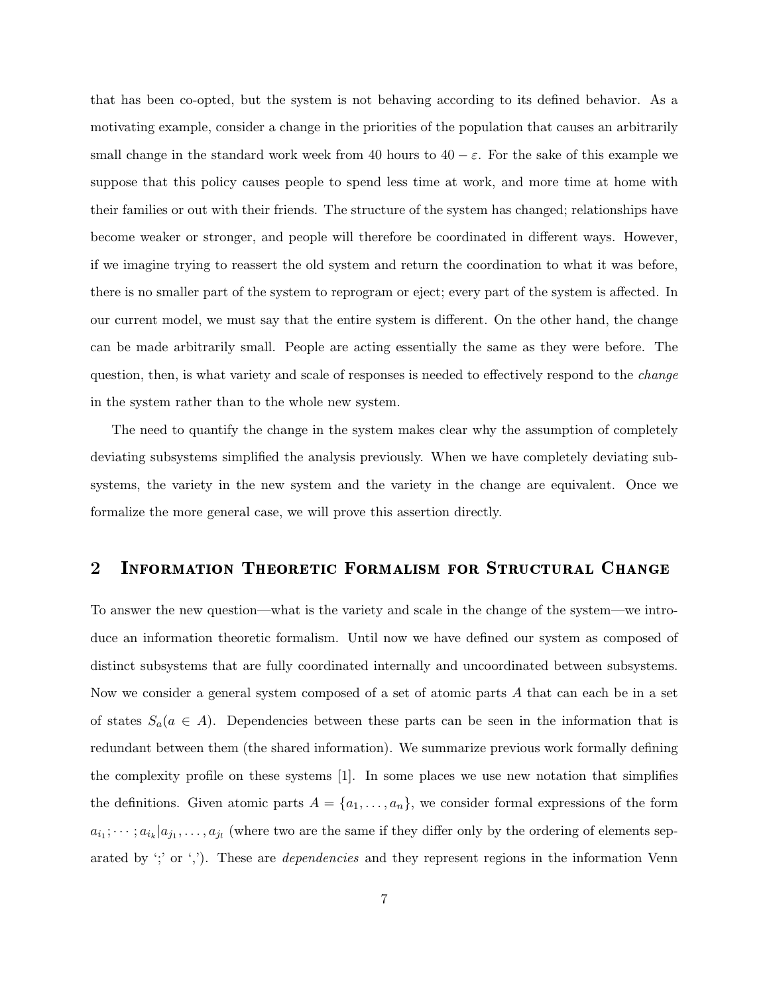that has been co-opted, but the system is not behaving according to its defined behavior. As a motivating example, consider a change in the priorities of the population that causes an arbitrarily small change in the standard work week from 40 hours to  $40 - \varepsilon$ . For the sake of this example we suppose that this policy causes people to spend less time at work, and more time at home with their families or out with their friends. The structure of the system has changed; relationships have become weaker or stronger, and people will therefore be coordinated in different ways. However, if we imagine trying to reassert the old system and return the coordination to what it was before, there is no smaller part of the system to reprogram or eject; every part of the system is affected. In our current model, we must say that the entire system is different. On the other hand, the change can be made arbitrarily small. People are acting essentially the same as they were before. The question, then, is what variety and scale of responses is needed to effectively respond to the *change* in the system rather than to the whole new system.

The need to quantify the change in the system makes clear why the assumption of completely deviating subsystems simplified the analysis previously. When we have completely deviating subsystems, the variety in the new system and the variety in the change are equivalent. Once we formalize the more general case, we will prove this assertion directly.

## 2 Information Theoretic Formalism for Structural Change

To answer the new question—what is the variety and scale in the change of the system—we introduce an information theoretic formalism. Until now we have defined our system as composed of distinct subsystems that are fully coordinated internally and uncoordinated between subsystems. Now we consider a general system composed of a set of atomic parts A that can each be in a set of states  $S_a(a \in A)$ . Dependencies between these parts can be seen in the information that is redundant between them (the shared information). We summarize previous work formally defining the complexity profile on these systems [1]. In some places we use new notation that simplifies the definitions. Given atomic parts  $A = \{a_1, \ldots, a_n\}$ , we consider formal expressions of the form  $a_{i_1}; \dots; a_{i_k} | a_{j_1}, \dots, a_{j_l}$  (where two are the same if they differ only by the ordering of elements separated by  $\langle$ ; or  $\langle$ ,  $\rangle$ ). These are *dependencies* and they represent regions in the information Venn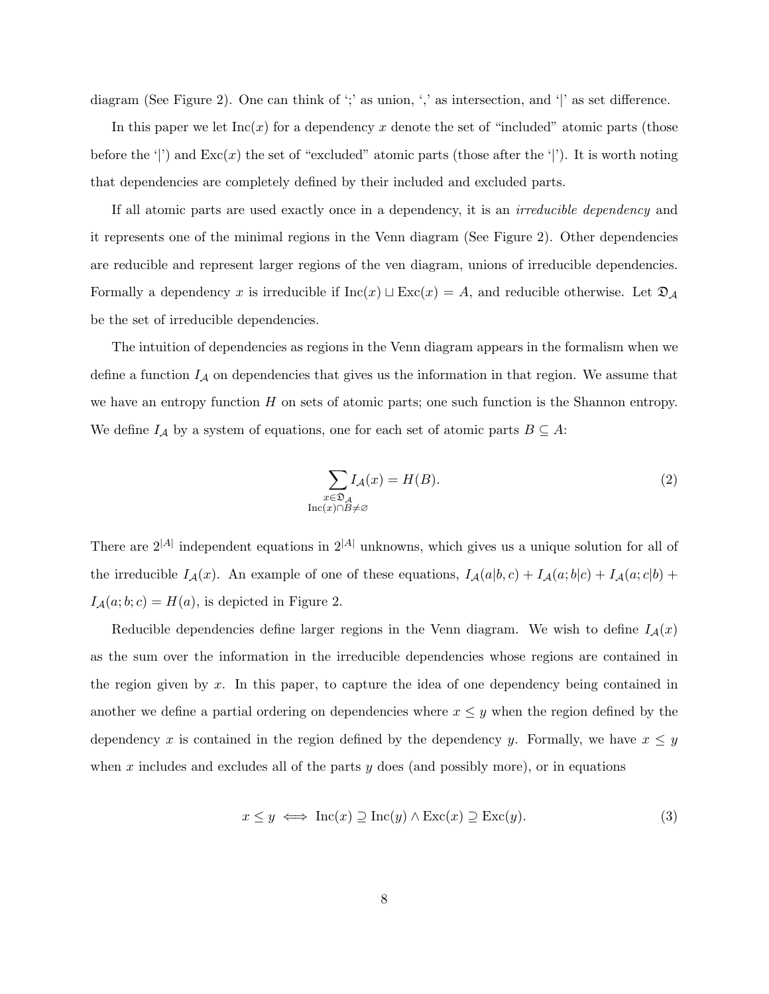diagram (See Figure 2). One can think of ';' as union, ',' as intersection, and '|' as set difference.

In this paper we let  $Inc(x)$  for a dependency x denote the set of "included" atomic parts (those before the '|') and  $Exc(x)$  the set of "excluded" atomic parts (those after the '|'). It is worth noting that dependencies are completely defined by their included and excluded parts.

If all atomic parts are used exactly once in a dependency, it is an irreducible dependency and it represents one of the minimal regions in the Venn diagram (See Figure 2). Other dependencies are reducible and represent larger regions of the ven diagram, unions of irreducible dependencies. Formally a dependency x is irreducible if  $Inc(x) \sqcup Exc(x) = A$ , and reducible otherwise. Let  $\mathfrak{D}_A$ be the set of irreducible dependencies.

The intuition of dependencies as regions in the Venn diagram appears in the formalism when we define a function  $I_A$  on dependencies that gives us the information in that region. We assume that we have an entropy function  $H$  on sets of atomic parts; one such function is the Shannon entropy. We define  $I_A$  by a system of equations, one for each set of atomic parts  $B \subseteq A$ :

$$
\sum_{\substack{x \in \mathfrak{D}_A \\ \text{Inc}(x) \cap B \neq \varnothing}} I_{\mathcal{A}}(x) = H(B). \tag{2}
$$

There are  $2^{|A|}$  independent equations in  $2^{|A|}$  unknowns, which gives us a unique solution for all of the irreducible  $I_A(x)$ . An example of one of these equations,  $I_A(a|b, c) + I_A(a; b|c) + I_A(a; c|b) +$  $I_A(a; b; c) = H(a)$ , is depicted in Figure 2.

Reducible dependencies define larger regions in the Venn diagram. We wish to define  $I_{\mathcal{A}}(x)$ as the sum over the information in the irreducible dependencies whose regions are contained in the region given by  $x$ . In this paper, to capture the idea of one dependency being contained in another we define a partial ordering on dependencies where  $x \leq y$  when the region defined by the dependency x is contained in the region defined by the dependency y. Formally, we have  $x \leq y$ when x includes and excludes all of the parts  $y$  does (and possibly more), or in equations

$$
x \le y \iff \text{Inc}(x) \supseteq \text{Inc}(y) \land \text{Exc}(x) \supseteq \text{Exc}(y). \tag{3}
$$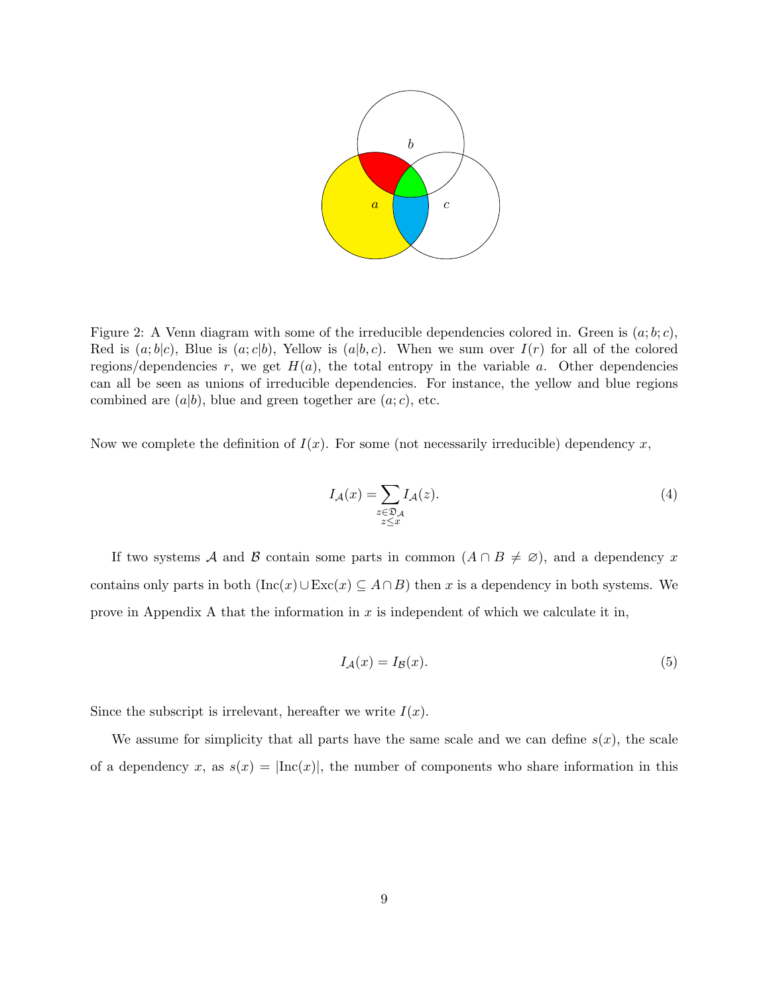

Figure 2: A Venn diagram with some of the irreducible dependencies colored in. Green is  $(a; b; c)$ , Red is  $(a; b|c)$ , Blue is  $(a; c|b)$ , Yellow is  $(a|b, c)$ . When we sum over  $I(r)$  for all of the colored regions/dependencies r, we get  $H(a)$ , the total entropy in the variable a. Other dependencies can all be seen as unions of irreducible dependencies. For instance, the yellow and blue regions combined are  $(a|b)$ , blue and green together are  $(a;c)$ , etc.

Now we complete the definition of  $I(x)$ . For some (not necessarily irreducible) dependency x,

$$
I_{\mathcal{A}}(x) = \sum_{\substack{z \in \mathfrak{D}_{\mathcal{A}} \\ z \le x}} I_{\mathcal{A}}(z). \tag{4}
$$

If two systems A and B contain some parts in common  $(A \cap B \neq \emptyset)$ , and a dependency x contains only parts in both  $(Inc(x) \cup Exc(x) \subseteq A \cap B)$  then x is a dependency in both systems. We prove in Appendix A that the information in  $x$  is independent of which we calculate it in,

$$
I_{\mathcal{A}}(x) = I_{\mathcal{B}}(x). \tag{5}
$$

Since the subscript is irrelevant, hereafter we write  $I(x)$ .

We assume for simplicity that all parts have the same scale and we can define  $s(x)$ , the scale of a dependency x, as  $s(x) = \text{Inc}(x)$ , the number of components who share information in this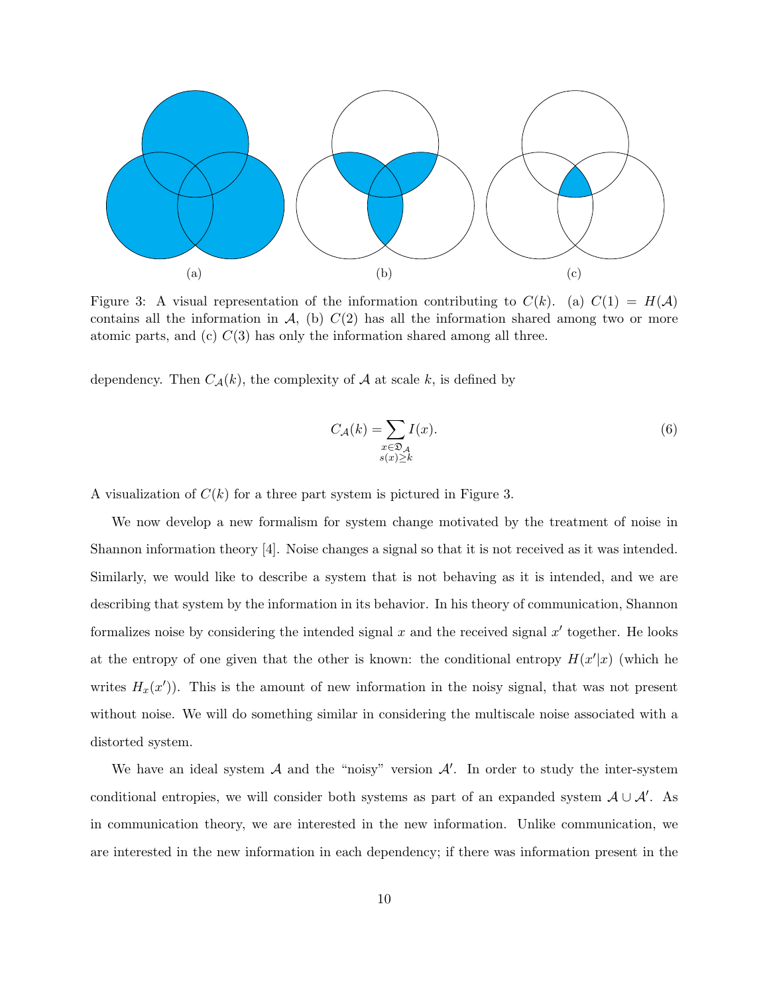

Figure 3: A visual representation of the information contributing to  $C(k)$ . (a)  $C(1) = H(\mathcal{A})$ contains all the information in  $\mathcal{A}$ , (b)  $C(2)$  has all the information shared among two or more atomic parts, and (c)  $C(3)$  has only the information shared among all three.

dependency. Then  $C_{\mathcal{A}}(k)$ , the complexity of  $\mathcal A$  at scale k, is defined by

$$
C_{\mathcal{A}}(k) = \sum_{\substack{x \in \mathfrak{D}_{\mathcal{A}} \\ s(x) \ge k}} I(x).
$$
 (6)

A visualization of  $C(k)$  for a three part system is pictured in Figure 3.

We now develop a new formalism for system change motivated by the treatment of noise in Shannon information theory [4]. Noise changes a signal so that it is not received as it was intended. Similarly, we would like to describe a system that is not behaving as it is intended, and we are describing that system by the information in its behavior. In his theory of communication, Shannon formalizes noise by considering the intended signal  $x$  and the received signal  $x'$  together. He looks at the entropy of one given that the other is known: the conditional entropy  $H(x'|x)$  (which he writes  $H_x(x')$ ). This is the amount of new information in the noisy signal, that was not present without noise. We will do something similar in considering the multiscale noise associated with a distorted system.

We have an ideal system  $A$  and the "noisy" version  $A'$ . In order to study the inter-system conditional entropies, we will consider both systems as part of an expanded system  $\mathcal{A} \cup \mathcal{A}'$ . As in communication theory, we are interested in the new information. Unlike communication, we are interested in the new information in each dependency; if there was information present in the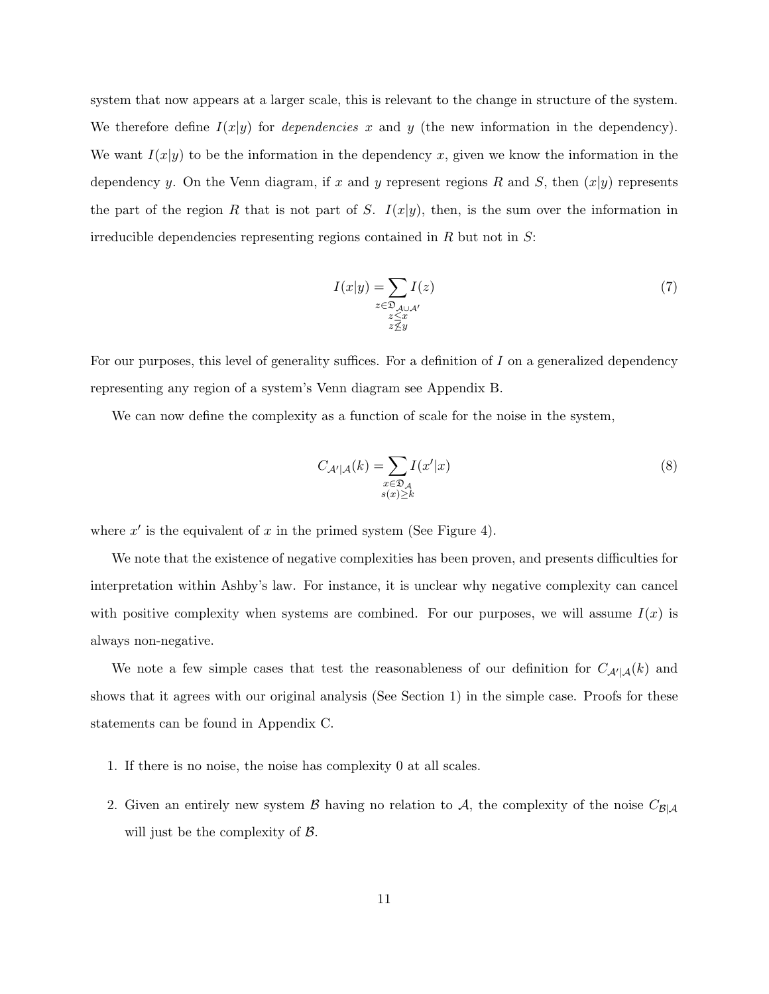system that now appears at a larger scale, this is relevant to the change in structure of the system. We therefore define  $I(x|y)$  for *dependencies* x and y (the new information in the dependency). We want  $I(x|y)$  to be the information in the dependency x, given we know the information in the dependency y. On the Venn diagram, if x and y represent regions R and S, then  $(x|y)$  represents the part of the region R that is not part of S.  $I(x|y)$ , then, is the sum over the information in irreducible dependencies representing regions contained in  $R$  but not in  $S$ :

$$
I(x|y) = \sum_{\substack{z \in \mathfrak{D}_{\mathcal{A} \cup \mathcal{A}'} \\ z \leq x \\ z \nleq y}} I(z)
$$
 (7)

For our purposes, this level of generality suffices. For a definition of I on a generalized dependency representing any region of a system's Venn diagram see Appendix B.

We can now define the complexity as a function of scale for the noise in the system,

$$
C_{\mathcal{A}'|\mathcal{A}}(k) = \sum_{\substack{x \in \mathfrak{D}_{\mathcal{A}} \\ s(x) \ge k}} I(x'|x)
$$
\n<sup>(8)</sup>

where  $x'$  is the equivalent of x in the primed system (See Figure 4).

We note that the existence of negative complexities has been proven, and presents difficulties for interpretation within Ashby's law. For instance, it is unclear why negative complexity can cancel with positive complexity when systems are combined. For our purposes, we will assume  $I(x)$  is always non-negative.

We note a few simple cases that test the reasonableness of our definition for  $C_{\mathcal{A}'|\mathcal{A}}(k)$  and shows that it agrees with our original analysis (See Section 1) in the simple case. Proofs for these statements can be found in Appendix C.

- 1. If there is no noise, the noise has complexity 0 at all scales.
- 2. Given an entirely new system B having no relation to A, the complexity of the noise  $C_{\mathcal{B}|\mathcal{A}}$ will just be the complexity of  $\beta$ .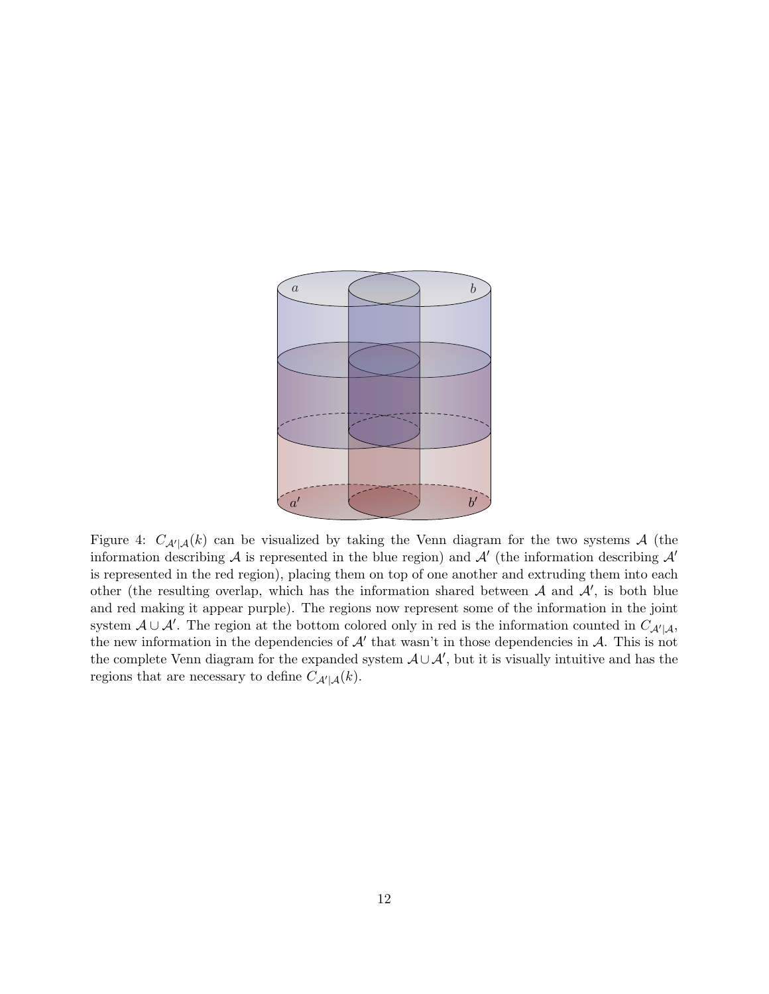

Figure 4:  $C_{\mathcal{A}'|\mathcal{A}}(k)$  can be visualized by taking the Venn diagram for the two systems A (the information describing A is represented in the blue region) and  $\mathcal{A}'$  (the information describing  $\mathcal{A}'$ is represented in the red region), placing them on top of one another and extruding them into each other (the resulting overlap, which has the information shared between  $A$  and  $A'$ , is both blue and red making it appear purple). The regions now represent some of the information in the joint system  $A \cup A'$ . The region at the bottom colored only in red is the information counted in  $C_{A'|A}$ , the new information in the dependencies of  $A'$  that wasn't in those dependencies in  $A$ . This is not the complete Venn diagram for the expanded system  $A\cup A'$ , but it is visually intuitive and has the regions that are necessary to define  $C_{\mathcal{A}'|\mathcal{A}}(k)$ .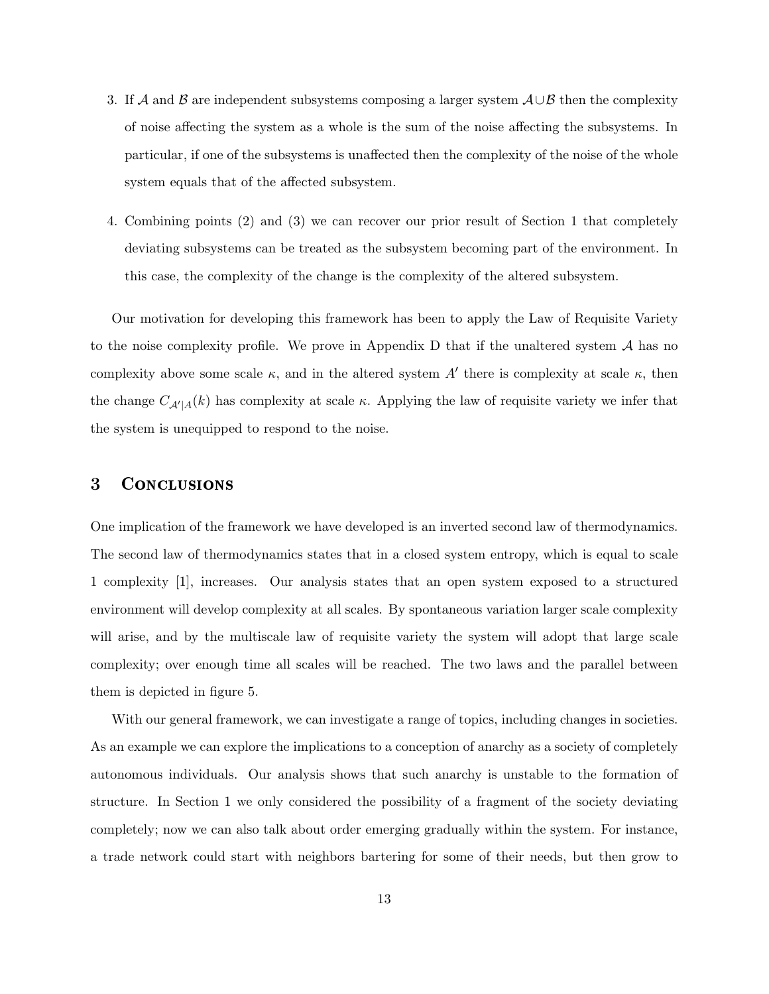- 3. If A and B are independent subsystems composing a larger system  $\mathcal{A}\cup\mathcal{B}$  then the complexity of noise affecting the system as a whole is the sum of the noise affecting the subsystems. In particular, if one of the subsystems is unaffected then the complexity of the noise of the whole system equals that of the affected subsystem.
- 4. Combining points (2) and (3) we can recover our prior result of Section 1 that completely deviating subsystems can be treated as the subsystem becoming part of the environment. In this case, the complexity of the change is the complexity of the altered subsystem.

Our motivation for developing this framework has been to apply the Law of Requisite Variety to the noise complexity profile. We prove in Appendix D that if the unaltered system  $A$  has no complexity above some scale  $\kappa$ , and in the altered system A' there is complexity at scale  $\kappa$ , then the change  $C_{A'|A}(k)$  has complexity at scale  $\kappa$ . Applying the law of requisite variety we infer that the system is unequipped to respond to the noise.

### 3 Conclusions

One implication of the framework we have developed is an inverted second law of thermodynamics. The second law of thermodynamics states that in a closed system entropy, which is equal to scale 1 complexity [1], increases. Our analysis states that an open system exposed to a structured environment will develop complexity at all scales. By spontaneous variation larger scale complexity will arise, and by the multiscale law of requisite variety the system will adopt that large scale complexity; over enough time all scales will be reached. The two laws and the parallel between them is depicted in figure 5.

With our general framework, we can investigate a range of topics, including changes in societies. As an example we can explore the implications to a conception of anarchy as a society of completely autonomous individuals. Our analysis shows that such anarchy is unstable to the formation of structure. In Section 1 we only considered the possibility of a fragment of the society deviating completely; now we can also talk about order emerging gradually within the system. For instance, a trade network could start with neighbors bartering for some of their needs, but then grow to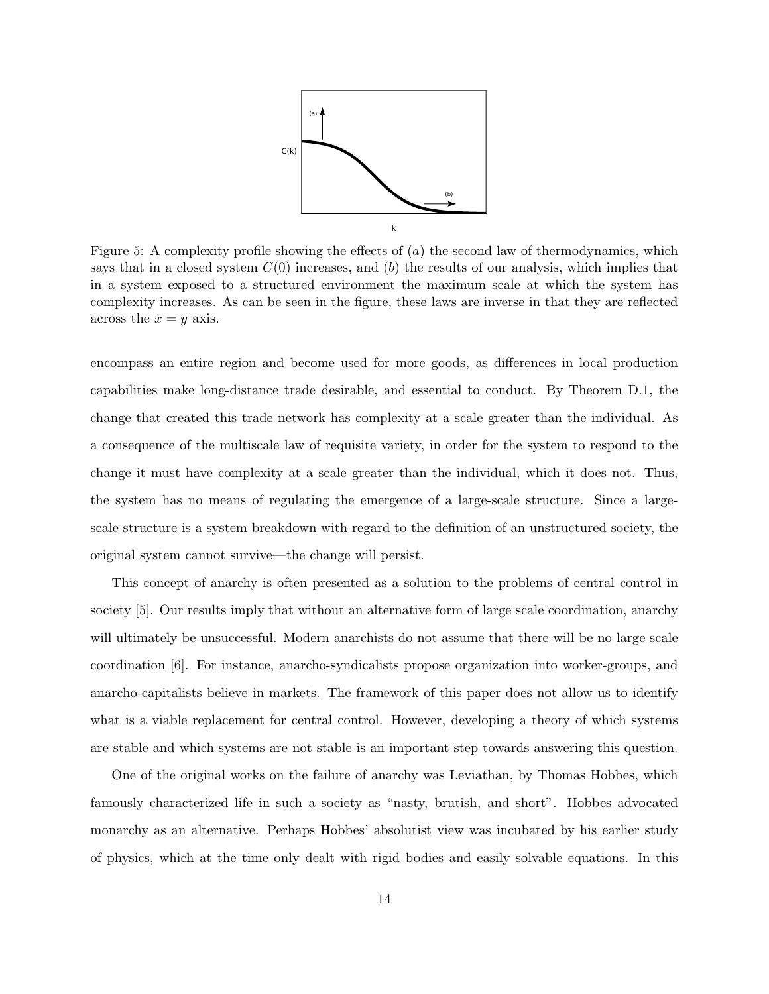

Figure 5: A complexity profile showing the effects of  $(a)$  the second law of thermodynamics, which says that in a closed system  $C(0)$  increases, and  $(b)$  the results of our analysis, which implies that in a system exposed to a structured environment the maximum scale at which the system has complexity increases. As can be seen in the figure, these laws are inverse in that they are reflected across the  $x = y$  axis.

encompass an entire region and become used for more goods, as differences in local production capabilities make long-distance trade desirable, and essential to conduct. By Theorem D.1, the change that created this trade network has complexity at a scale greater than the individual. As a consequence of the multiscale law of requisite variety, in order for the system to respond to the change it must have complexity at a scale greater than the individual, which it does not. Thus, the system has no means of regulating the emergence of a large-scale structure. Since a largescale structure is a system breakdown with regard to the definition of an unstructured society, the original system cannot survive—the change will persist.

This concept of anarchy is often presented as a solution to the problems of central control in society [5]. Our results imply that without an alternative form of large scale coordination, anarchy will ultimately be unsuccessful. Modern anarchists do not assume that there will be no large scale coordination [6]. For instance, anarcho-syndicalists propose organization into worker-groups, and anarcho-capitalists believe in markets. The framework of this paper does not allow us to identify what is a viable replacement for central control. However, developing a theory of which systems are stable and which systems are not stable is an important step towards answering this question.

One of the original works on the failure of anarchy was Leviathan, by Thomas Hobbes, which famously characterized life in such a society as "nasty, brutish, and short". Hobbes advocated monarchy as an alternative. Perhaps Hobbes' absolutist view was incubated by his earlier study of physics, which at the time only dealt with rigid bodies and easily solvable equations. In this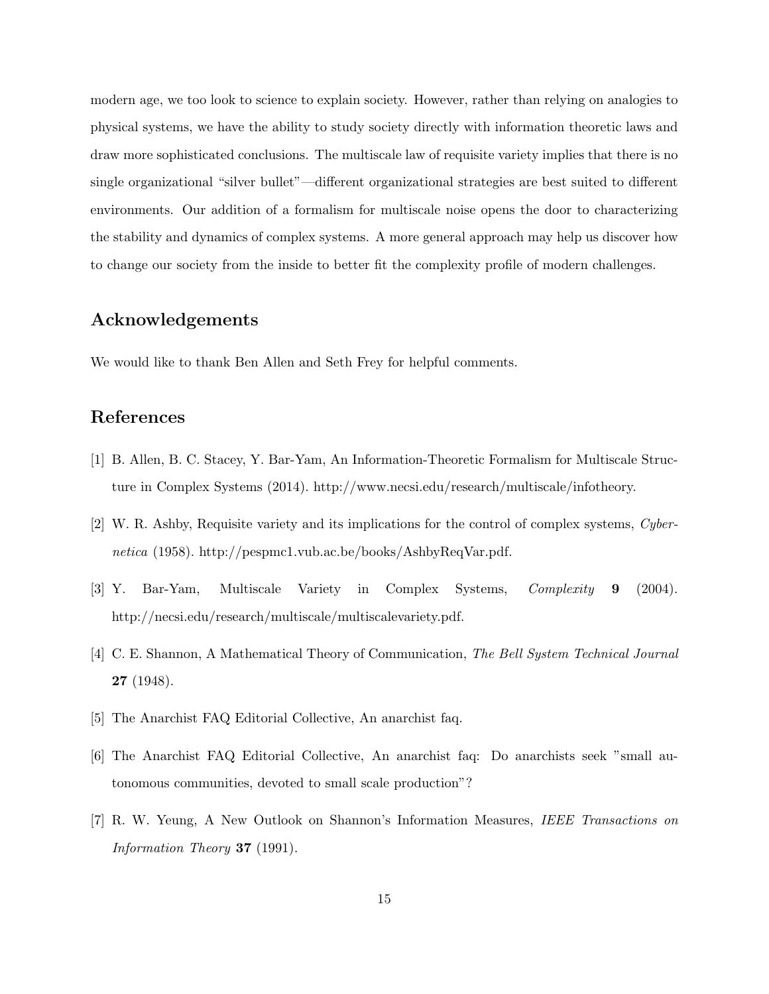modern age, we too look to science to explain society. However, rather than relying on analogies to physical systems, we have the ability to study society directly with information theoretic laws and draw more sophisticated conclusions. The multiscale law of requisite variety implies that there is no single organizational "silver bullet"—different organizational strategies are best suited to different environments. Our addition of a formalism for multiscale noise opens the door to characterizing the stability and dynamics of complex systems. A more general approach may help us discover how to change our society from the inside to better fit the complexity profile of modern challenges.

## Acknowledgements

We would like to thank Ben Allen and Seth Frey for helpful comments.

# References

- [1] B. Allen, B. C. Stacey, Y. Bar-Yam, An Information-Theoretic Formalism for Multiscale Structure in Complex Systems (2014). http://www.necsi.edu/research/multiscale/infotheory.
- [2] W. R. Ashby, Requisite variety and its implications for the control of complex systems, Cybernetica (1958). http://pespmc1.vub.ac.be/books/AshbyReqVar.pdf.
- [3] Y. Bar-Yam, Multiscale Variety in Complex Systems, Complexity 9 (2004). http://necsi.edu/research/multiscale/multiscalevariety.pdf.
- [4] C. E. Shannon, A Mathematical Theory of Communication, The Bell System Technical Journal 27 (1948).
- [5] The Anarchist FAQ Editorial Collective, An anarchist faq.
- [6] The Anarchist FAQ Editorial Collective, An anarchist faq: Do anarchists seek "small autonomous communities, devoted to small scale production"?
- [7] R. W. Yeung, A New Outlook on Shannon's Information Measures, IEEE Transactions on Information Theory 37 (1991).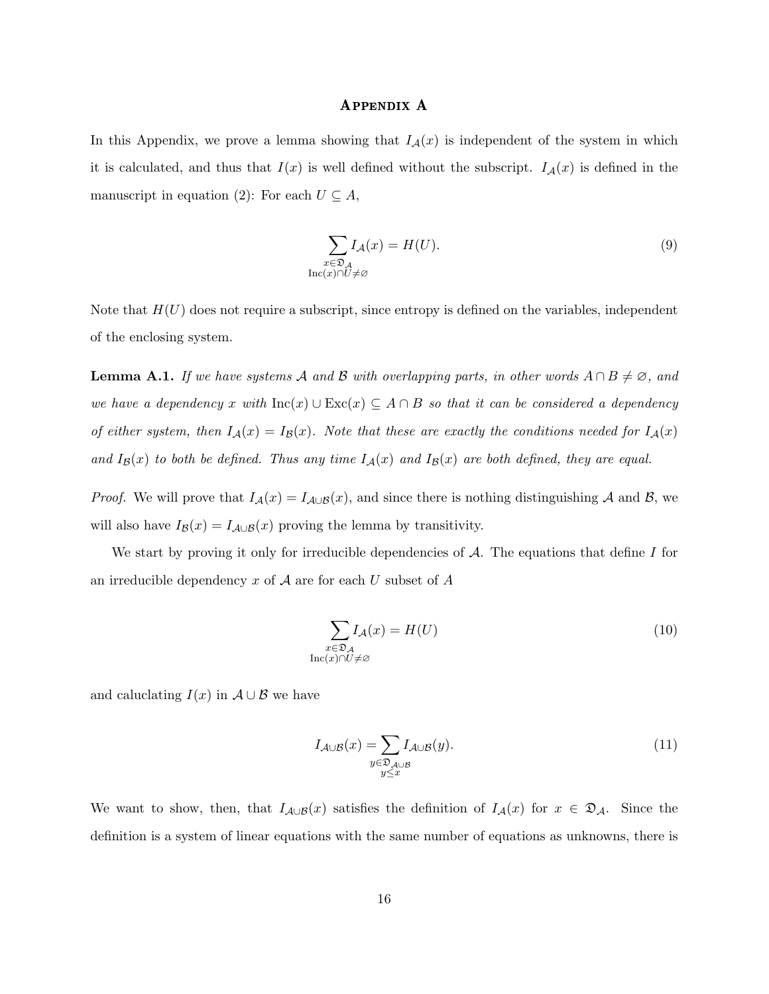#### Appendix A

In this Appendix, we prove a lemma showing that  $I_{\mathcal{A}}(x)$  is independent of the system in which it is calculated, and thus that  $I(x)$  is well defined without the subscript.  $I_{\mathcal{A}}(x)$  is defined in the manuscript in equation (2): For each  $U \subseteq A$ ,

$$
\sum_{\substack{x \in \mathfrak{D}_\mathcal{A} \\ \text{Inc}(x) \cap U \neq \varnothing}} I_{\mathcal{A}}(x) = H(U). \tag{9}
$$

Note that  $H(U)$  does not require a subscript, since entropy is defined on the variables, independent of the enclosing system.

**Lemma A.1.** If we have systems A and B with overlapping parts, in other words  $A \cap B \neq \emptyset$ , and we have a dependency x with  $\text{Inc}(x) \cup \text{Exc}(x) \subseteq A \cap B$  so that it can be considered a dependency of either system, then  $I_{\mathcal{A}}(x) = I_{\mathcal{B}}(x)$ . Note that these are exactly the conditions needed for  $I_{\mathcal{A}}(x)$ and  $I_{\mathcal{B}}(x)$  to both be defined. Thus any time  $I_{\mathcal{A}}(x)$  and  $I_{\mathcal{B}}(x)$  are both defined, they are equal.

*Proof.* We will prove that  $I_{\mathcal{A}}(x) = I_{\mathcal{A}\cup\mathcal{B}}(x)$ , and since there is nothing distinguishing A and B, we will also have  $I_{\mathcal{B}}(x) = I_{\mathcal{A} \cup \mathcal{B}}(x)$  proving the lemma by transitivity.

We start by proving it only for irreducible dependencies of  $A$ . The equations that define  $I$  for an irreducible dependency  $x$  of  $A$  are for each  $U$  subset of  $A$ 

$$
\sum_{\substack{x \in \mathfrak{D}_\mathcal{A} \\ \text{Inc}(x) \cap U \neq \varnothing}} I_\mathcal{A}(x) = H(U)
$$
\n(10)

and caluclating  $I(x)$  in  $A \cup B$  we have

$$
I_{\mathcal{A}\cup\mathcal{B}}(x) = \sum_{\substack{y \in \mathfrak{D}_{\mathcal{A}\cup\mathcal{B}} \\ y \le x}} I_{\mathcal{A}\cup\mathcal{B}}(y). \tag{11}
$$

We want to show, then, that  $I_{\mathcal{A}\cup\mathcal{B}}(x)$  satisfies the definition of  $I_{\mathcal{A}}(x)$  for  $x \in \mathfrak{D}_{\mathcal{A}}$ . Since the definition is a system of linear equations with the same number of equations as unknowns, there is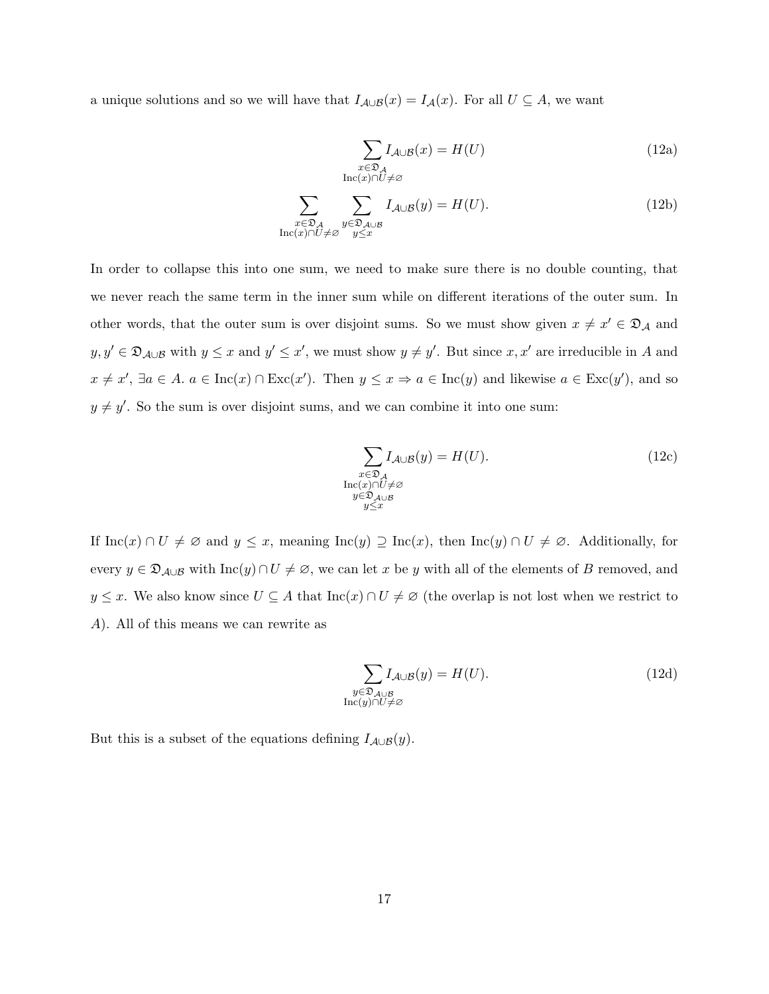a unique solutions and so we will have that  $I_{\mathcal{A}\cup\mathcal{B}}(x) = I_{\mathcal{A}}(x)$ . For all  $U \subseteq A$ , we want

$$
\sum_{\substack{x \in \mathfrak{D}_\mathcal{A} \\ \text{Inc}(x) \cap U \neq \varnothing}} I_{\mathcal{A} \cup \mathcal{B}}(x) = H(U)
$$
\n(12a)

$$
\sum_{\substack{x \in \mathfrak{D}_\mathcal{A} \\ \text{Inc}(x) \cap U \neq \varnothing}} \sum_{\substack{y \in \mathfrak{D}_{\mathcal{A} \cup \mathcal{B}}} \\ y \leq x} I_{\mathcal{A} \cup \mathcal{B}}(y) = H(U). \tag{12b}
$$

In order to collapse this into one sum, we need to make sure there is no double counting, that we never reach the same term in the inner sum while on different iterations of the outer sum. In other words, that the outer sum is over disjoint sums. So we must show given  $x \neq x' \in \mathfrak{D}_\mathcal{A}$  and  $y, y' \in \mathfrak{D}_{\mathcal{A}\cup\mathcal{B}}$  with  $y \leq x$  and  $y' \leq x'$ , we must show  $y \neq y'$ . But since  $x, x'$  are irreducible in A and  $x \neq x'$ ,  $\exists a \in A$ .  $a \in \text{Inc}(x) \cap \text{Exc}(x')$ . Then  $y \leq x \Rightarrow a \in \text{Inc}(y)$  and likewise  $a \in \text{Exc}(y')$ , and so  $y \neq y'$ . So the sum is over disjoint sums, and we can combine it into one sum:

$$
\sum_{\substack{x \in \mathfrak{D}_\mathcal{A} \\ \text{Inc}(x) \cap U \neq \varnothing \\ y \in \mathfrak{D} \\ y \le x}} I_{\mathcal{A} \cup \mathcal{B}}(y) = H(U). \tag{12c}
$$

If  $\text{Inc}(x) \cap U \neq \emptyset$  and  $y \leq x$ , meaning  $\text{Inc}(y) \supseteq \text{Inc}(x)$ , then  $\text{Inc}(y) \cap U \neq \emptyset$ . Additionally, for every  $y \in \mathfrak{D}_{\mathcal{A}\cup\mathcal{B}}$  with  $\text{Inc}(y) \cap U \neq \emptyset$ , we can let x be y with all of the elements of B removed, and  $y \leq x$ . We also know since  $U \subseteq A$  that  $\text{Inc}(x) \cap U \neq \emptyset$  (the overlap is not lost when we restrict to A). All of this means we can rewrite as

$$
\sum_{\substack{y \in \mathfrak{D}_{\mathcal{A} \cup \mathcal{B}} \\ \text{Inc}(y) \cap U \neq \varnothing}} I_{\mathcal{A} \cup \mathcal{B}}(y) = H(U). \tag{12d}
$$

But this is a subset of the equations defining  $I_{\mathcal{A}\cup\mathcal{B}}(y)$ .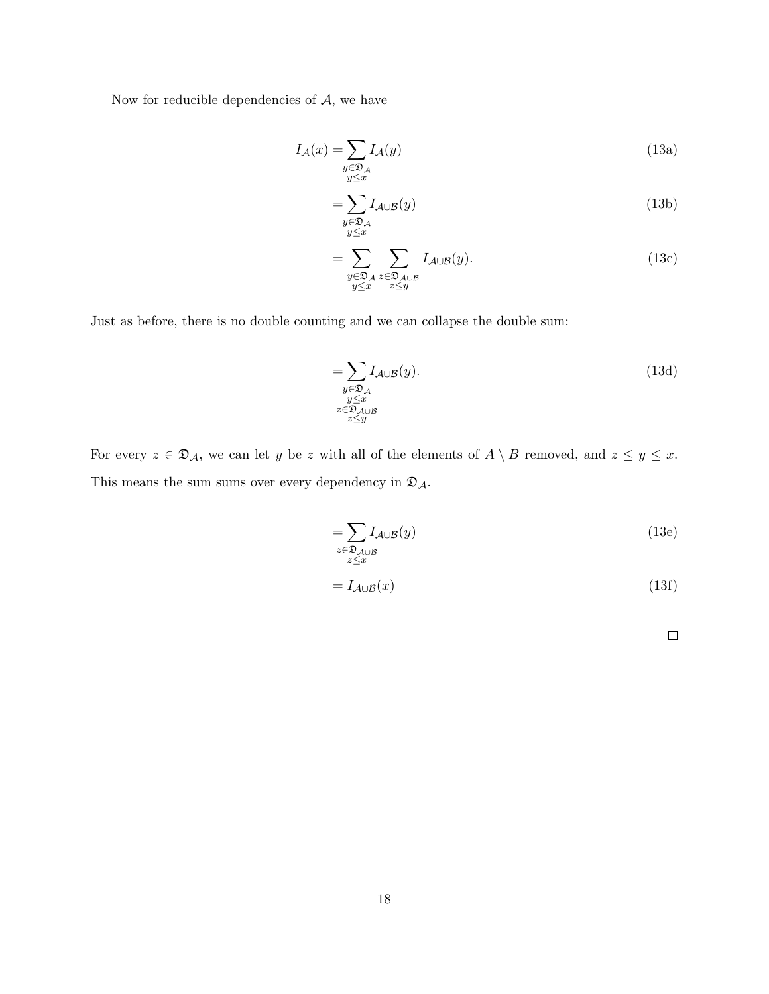Now for reducible dependencies of  $A$ , we have

$$
I_{\mathcal{A}}(x) = \sum_{\substack{y \in \mathfrak{D}_{\mathcal{A}} \\ y \le x}} I_{\mathcal{A}}(y)
$$
\n(13a)

$$
=\sum_{\substack{y\in\mathfrak{D}_{\mathcal{A}}\\y\leq x}}I_{\mathcal{A}\cup\mathcal{B}}(y)
$$
\n(13b)

$$
=\sum_{\substack{y\in\mathfrak{D}_\mathcal{A}\\y\leq x}}\sum_{\substack{z\in\mathfrak{D}_{\mathcal{A}\cup\mathcal{B}}\\z\leq y}}I_{\mathcal{A}\cup\mathcal{B}}(y). \tag{13c}
$$

Just as before, there is no double counting and we can collapse the double sum:

$$
=\sum_{\substack{y\in\mathfrak{D}_{\mathcal{A}}\\y\leq x\\z\in\mathfrak{D}_{\mathcal{A}\cup\mathcal{B}}\\z\leq y}} I_{\mathcal{A}\cup\mathcal{B}}(y). \tag{13d}
$$

For every  $z \in \mathfrak{D}_A$ , we can let y be z with all of the elements of  $A \setminus B$  removed, and  $z \le y \le x$ . This means the sum sums over every dependency in  $\mathfrak{D}_{\mathcal{A}}.$ 

$$
=\sum_{\substack{z \in \mathfrak{D}_{\mathcal{A}\cup\mathcal{B}} \\ z \leq x}} I_{\mathcal{A}\cup\mathcal{B}}(y) \tag{13e}
$$

$$
=I_{\mathcal{A}\cup\mathcal{B}}(x)\tag{13f}
$$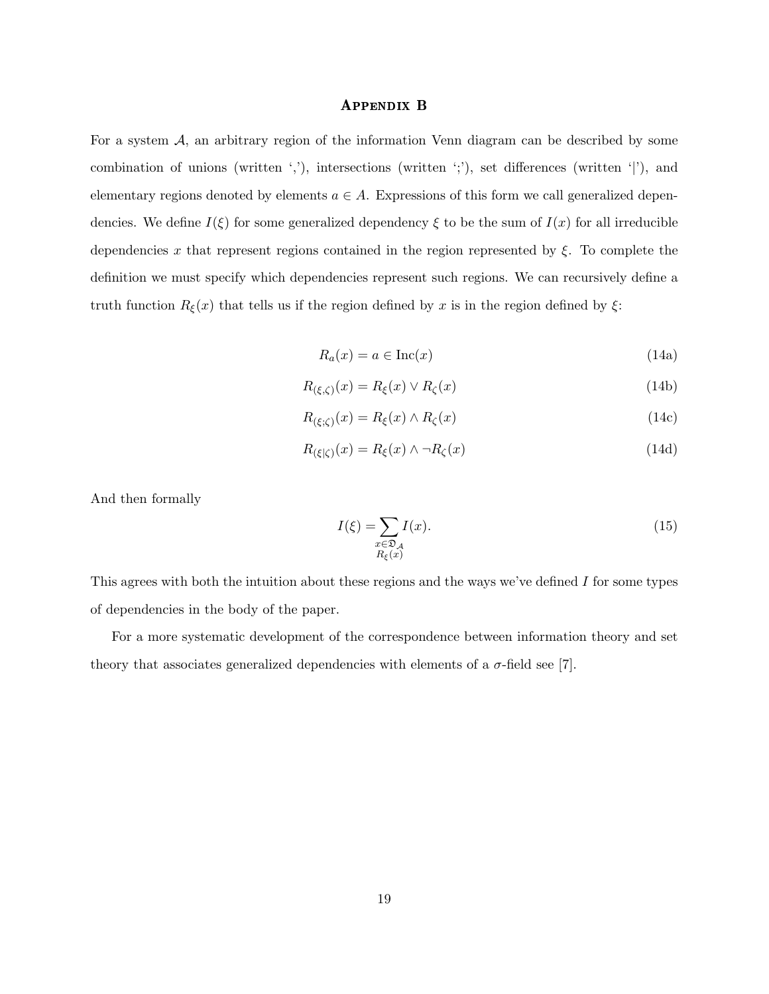#### Appendix B

For a system  $A$ , an arbitrary region of the information Venn diagram can be described by some combination of unions (written ','), intersections (written ';'), set differences (written '|'), and elementary regions denoted by elements  $a \in A$ . Expressions of this form we call generalized dependencies. We define  $I(\xi)$  for some generalized dependency  $\xi$  to be the sum of  $I(x)$  for all irreducible dependencies x that represent regions contained in the region represented by  $\xi$ . To complete the definition we must specify which dependencies represent such regions. We can recursively define a truth function  $R_{\xi}(x)$  that tells us if the region defined by x is in the region defined by  $\xi$ :

$$
R_a(x) = a \in \text{Inc}(x) \tag{14a}
$$

$$
R_{(\xi,\zeta)}(x) = R_{\xi}(x) \vee R_{\zeta}(x) \tag{14b}
$$

$$
R_{(\xi;\zeta)}(x) = R_{\xi}(x) \wedge R_{\zeta}(x) \tag{14c}
$$

$$
R_{(\xi|\zeta)}(x) = R_{\xi}(x) \wedge \neg R_{\zeta}(x) \tag{14d}
$$

And then formally

$$
I(\xi) = \sum_{\substack{x \in \mathfrak{D}_{\mathcal{A}} \\ R_{\xi}(x)}} I(x). \tag{15}
$$

This agrees with both the intuition about these regions and the ways we've defined I for some types of dependencies in the body of the paper.

For a more systematic development of the correspondence between information theory and set theory that associates generalized dependencies with elements of a  $\sigma$ -field see [7].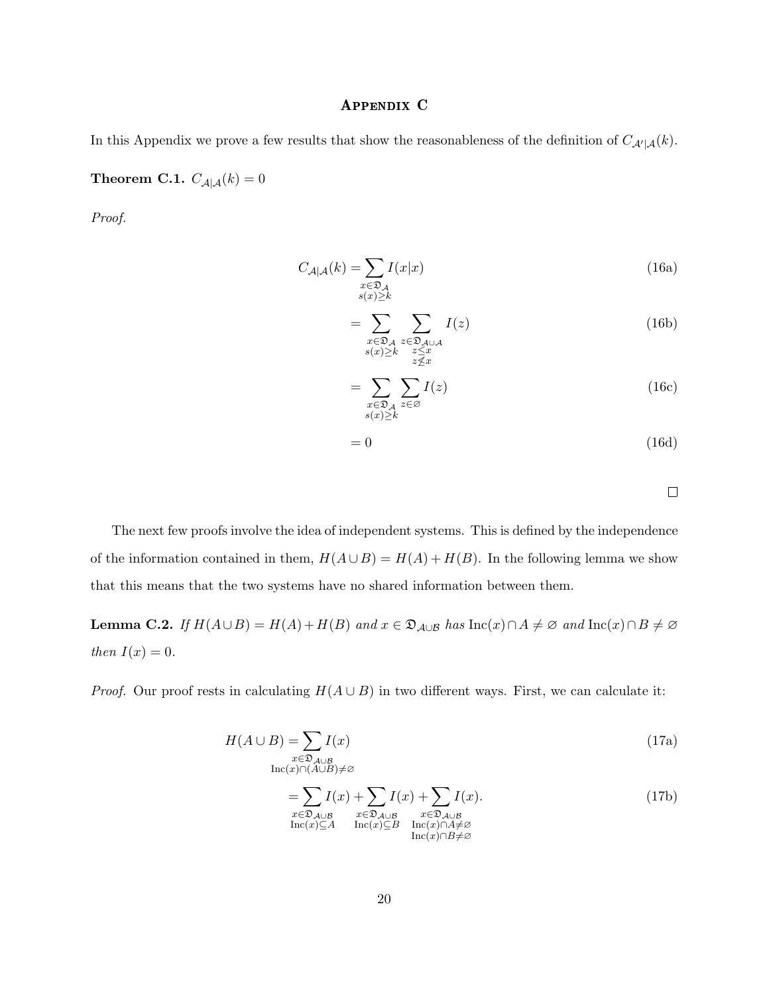### Appendix C

In this Appendix we prove a few results that show the reasonableness of the definition of  $C_{\mathcal{A}'|\mathcal{A}}(k)$ .

Theorem C.1.  $C_{\mathcal{A}|\mathcal{A}}(k) = 0$ 

Proof.

$$
C_{\mathcal{A}|\mathcal{A}}(k) = \sum_{\substack{x \in \mathfrak{D}_{\mathcal{A}} \\ s(x) \ge k}} I(x|x)
$$
\n(16a)

$$
=\sum_{\substack{x \in \mathfrak{D}_\mathcal{A} \\ s(x)\geq k}} \sum_{\substack{z \in \mathfrak{D}_{\mathcal{A} \cup \mathcal{A} \\ z \leq x}} \ I(z) \\ z \nleq x} \tag{16b}
$$

$$
=\sum_{\substack{x\in\mathfrak{D}_\mathcal{A} \\ s(x)\geq k}} \sum_{z\in\varnothing} I(z) \tag{16c}
$$

$$
=0 \tag{16d}
$$

 $\Box$ 

The next few proofs involve the idea of independent systems. This is defined by the independence of the information contained in them,  $H(A \cup B) = H(A) + H(B)$ . In the following lemma we show that this means that the two systems have no shared information between them.

Lemma C.2. If  $H(A \cup B) = H(A) + H(B)$  and  $x \in \mathfrak{D}_{A \cup B}$  has  $\text{Inc}(x) \cap A \neq \emptyset$  and  $\text{Inc}(x) \cap B \neq \emptyset$ then  $I(x) = 0$ .

*Proof.* Our proof rests in calculating  $H(A \cup B)$  in two different ways. First, we can calculate it:

$$
H(A \cup B) = \sum_{\substack{x \in \mathfrak{D}_{A \cup B} \\ \text{Inc}(x) \cap (A \cup B) \neq \varnothing}} I(x)
$$
 (17a)

$$
=\sum_{\substack{x \in \mathfrak{D}_{\mathcal{A}\cup\mathcal{B}} \\ \text{Inc}(x)\subseteq A}} I(x) + \sum_{\substack{x \in \mathfrak{D}_{\mathcal{A}\cup\mathcal{B}} \\ \text{Inc}(x)\subseteq B}} I(x) + \sum_{\substack{x \in \mathfrak{D}_{\mathcal{A}\cup\mathcal{B}} \\ \text{Inc}(x)\cap A \neq \varnothing}} I(x). \tag{17b}
$$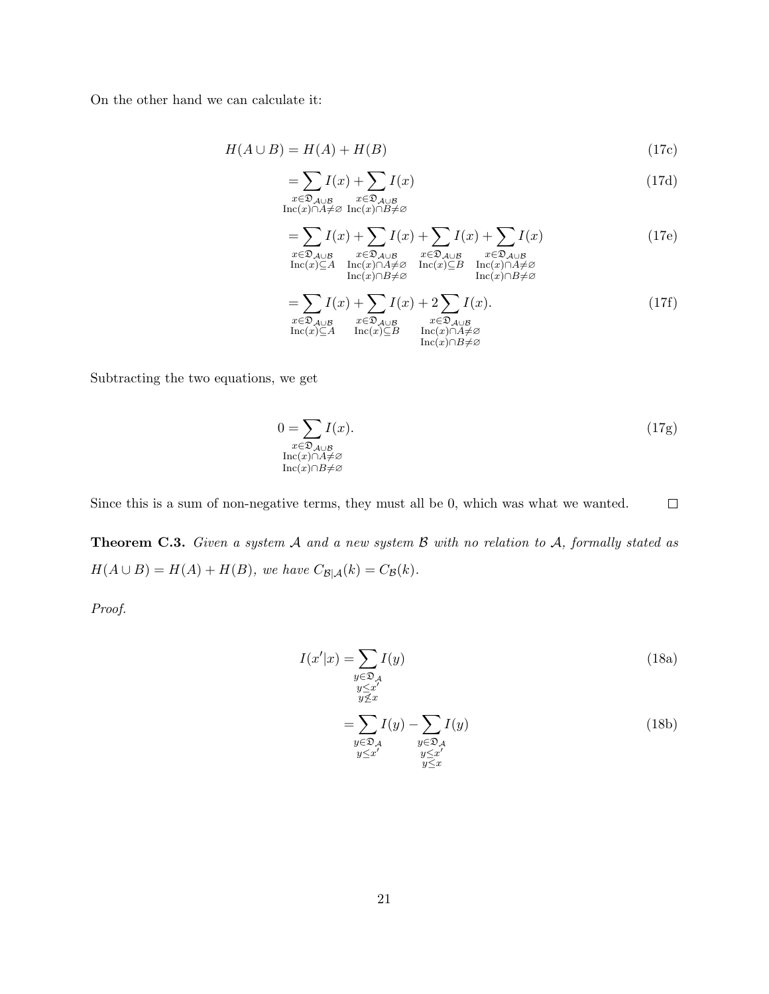On the other hand we can calculate it:

$$
H(A \cup B) = H(A) + H(B) \tag{17c}
$$

$$
=\sum_{\substack{x \in \mathfrak{D}_{\mathcal{A}\cup\mathcal{B}} \\ \text{Inc}(x) \cap A \neq \varnothing \ \text{Inc}(x) \cap B \neq \varnothing}} I(x)
$$
(17d)

$$
= \sum I(x) + \sum I(x) + \sum I(x) + \sum I(x)
$$
 (17e)

$$
x \in \mathfrak{D}_{A \cup B} \qquad x \in \mathfrak{D}_{A \cup B} \qquad x \in \mathfrak{D}_{A \cup B} \qquad x \in \mathfrak{D}_{A \cup B}
$$
  
\n
$$
\text{Inc}(x) \subseteq A \qquad \text{Inc}(x) \cap A \neq \emptyset \qquad \text{Inc}(x) \subseteq B \qquad \text{Inc}(x) \cap A \neq \emptyset
$$
  
\n
$$
\text{Inc}(x) \cap B \neq \emptyset \qquad \qquad \text{Inc}(x) \cap B \neq \emptyset
$$
  
\n
$$
\sum_{i} I(x) \cup \sum_{i} I(x) \cup \sum_{i} I(x) \qquad \qquad (175)
$$

$$
=\sum_{x \in \mathfrak{D}_{\mathcal{A}\cup\mathcal{B}}} I(x) + \sum_{x \in \mathfrak{D}_{\mathcal{A}\cup\mathcal{B}}} I(x) + 2 \sum_{x \in \mathfrak{D}_{\mathcal{A}\cup\mathcal{B}}} I(x).
$$
\n
$$
\operatorname{Inc}(x) \subseteq A \quad \operatorname{Inc}(x) \subseteq B \quad \operatorname{Inc}(x) \cap A \neq \varnothing
$$
\n
$$
\operatorname{Inc}(x) \cap B \neq \varnothing
$$
\n
$$
(17f)
$$

Subtracting the two equations, we get

$$
0 = \sum_{\substack{x \in \mathfrak{D}_{\mathcal{A} \cup \mathcal{B}} \\ \text{Inc}(x) \cap A \neq \emptyset}} I(x). \tag{17g}
$$

Since this is a sum of non-negative terms, they must all be 0, which was what we wanted.  $\Box$ 

Theorem C.3. Given a system A and a new system B with no relation to A, formally stated as  $H(A\cup B)=H(A)+H(B),\;we\;have\;C_{\mathcal{B}|\mathcal{A}}(k)=C_{\mathcal{B}}(k).$ 

Proof.

$$
I(x'|x) = \sum_{\substack{y \in \mathfrak{D}_\mathcal{A} \\ y \le x' \\ y \nsubseteq x}} I(y)
$$
(18a)  

$$
= \sum_{\substack{y \in \mathfrak{D}_\mathcal{A} \\ y \in \mathfrak{D}_\mathcal{A} \\ y \le x'}} I(y) - \sum_{\substack{y \in \mathfrak{D}_\mathcal{A} \\ y \le x'}} I(y)
$$
(18b)

 $y \leq x$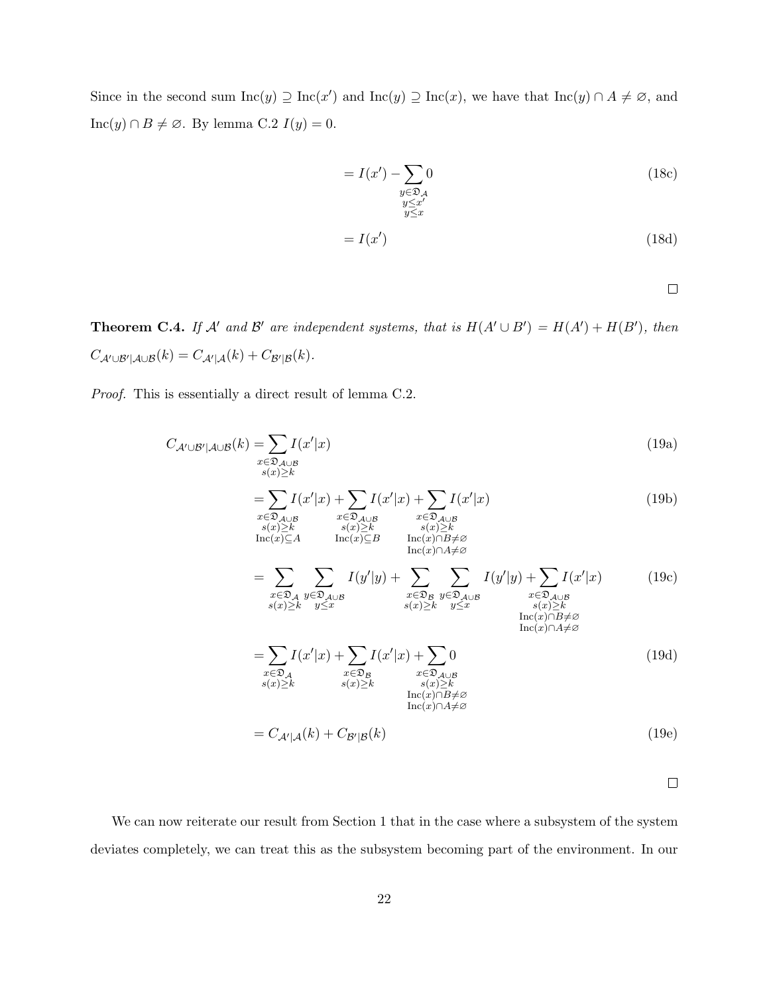Since in the second sum  $Inc(y) \supseteq Inc(x')$  and  $Inc(y) \supseteq Inc(x)$ , we have that  $Inc(y) \cap A \neq \emptyset$ , and Inc(y) ∩ B ≠ ∅. By lemma C.2  $I(y) = 0$ .

$$
= I(x') - \sum_{\substack{y \in \mathfrak{D}_\mathcal{A} \\ y \le x' \\ y \le x}} 0 \tag{18c}
$$

$$
=I(x')\tag{18d}
$$

 $\Box$ 

**Theorem C.4.** If A' and B' are independent systems, that is  $H(A' \cup B') = H(A') + H(B')$ , then  $C_{\mathcal{A}'\cup\mathcal{B}'|\mathcal{A}\cup\mathcal{B}}(k)=C_{\mathcal{A}'|\mathcal{A}}(k)+C_{\mathcal{B}'|\mathcal{B}}(k).$ 

Proof. This is essentially a direct result of lemma C.2.

$$
C_{\mathcal{A}' \cup \mathcal{B}' | \mathcal{A} \cup \mathcal{B}}(k) = \sum_{\substack{x \in \mathfrak{D}_{\mathcal{A} \cup \mathcal{B}} \\ s(x) \ge k}} I(x'|x)
$$
(19a)

$$
=\sum_{\substack{x \in \mathfrak{D}_{A \cup B} \\ s(x) \ge k \\ \text{Inc}(x) \subseteq A}} I(x'|x) + \sum_{\substack{x \in \mathfrak{D}_{A \cup B} \\ s(x) \ge k \\ \text{Inc}(x) \subseteq B}} I(x'|x) + \sum_{\substack{x \in \mathfrak{D}_{A \cup B} \\ s(x) \ge k \\ \text{Inc}(x) \cap B \ne \varnothing}} I(x'|x)
$$
(19b)  

$$
=\sum_{\substack{x \in \mathfrak{D}_{A \cup B} \\ \text{Inc}(x) \cap A \ne \varnothing}} \sum_{\substack{s(x) \ge k \\ \text{Inc}(x) \cap B \ne \varnothing}} I(y'|y) + \sum_{\substack{I(y'|y) + \sum_{\substack{I(x'|x) \\ \text{Inc}(x) \cap A \ne \varnothing}}}} I(x'|x)
$$
(19b)

$$
= \sum_{\substack{x \in \mathfrak{D}_{\mathcal{A}}} \mathcal{L} \subseteq \mathfrak{D}_{\mathcal{A} \cup \mathcal{B}}} I(y|y) + \sum_{\substack{x \in \mathfrak{D}_{\mathcal{B}}} \mathcal{L} \subseteq \mathfrak{D}_{\mathcal{A} \cup \mathcal{B}}} I(y|y) + \sum_{\substack{x \in \mathfrak{D}_{\mathcal{A} \cup \mathcal{B}}} \mathcal{L} \subseteq \mathfrak{D}_{\mathcal{A} \cup \mathcal{B}}} I(x|x) \qquad (19c)
$$
\n
$$
= \sum_{\substack{x \in \mathfrak{D}_{\mathcal{A}}} \mathcal{L} \subseteq \mathfrak{D}_{\mathcal{A}}} I(x'|x) + \sum_{\substack{x \in \mathfrak{D}_{\mathcal{B}}} \mathcal{L} \subseteq \mathfrak{D}_{\mathcal{A} \cup \mathcal{B}}} I(x'|x) + \sum_{\substack{x \in \mathfrak{D}_{\mathcal{A}}} \mathcal{L} \subseteq \mathfrak{D}_{\mathcal{A}}} I(x'|x) + \sum_{\substack{x \in \mathfrak{D}_{\mathcal{A}}} \mathcal{L} \subseteq \mathfrak{D}_{\mathcal{A} \cup \mathcal{B}}} \mathcal{L} \mathcal{L} \subseteq \mathfrak{D}_{\mathcal{A} \cup \mathcal{B}}} I(x'|x) + \sum_{\substack{x \in \mathfrak{D}_{\mathcal{A}}} \mathcal{L} \subseteq \mathfrak{D}_{\mathcal{A} \cup \mathcal{B}}} \mathcal{L} \mathcal{L} \subseteq \mathfrak{D}_{\mathcal{A} \cup \mathcal{B}}} \mathcal{L} \mathcal{L} \times \mathcal{L} \mathcal{L} \mathcal{L} \mathcal{L} \times \mathcal{L} \mathcal{L} \mathcal{L} \times \mathcal{L} \mathcal{L} \times \mathcal{L} \mathcal{L} \times \mathcal{L} \times \mathcal{L} \times \mathcal{L} \times \mathcal{L} \times \mathcal{L} \times \mathcal{L} \times \mathcal{L} \times \mathcal{L} \times \mathcal{L} \times \mathcal{L} \times \mathcal{L} \times \mathcal{L} \times \mathcal{L} \times \mathcal{L} \times \mathcal{L} \times \mathcal{L} \times \mathcal{L} \times \mathcal{L}
$$

$$
=C_{\mathcal{A}'|\mathcal{A}}(k) + C_{\mathcal{B}'|\mathcal{B}}(k)
$$
\n(19e)

 $\Box$ 

We can now reiterate our result from Section 1 that in the case where a subsystem of the system deviates completely, we can treat this as the subsystem becoming part of the environment. In our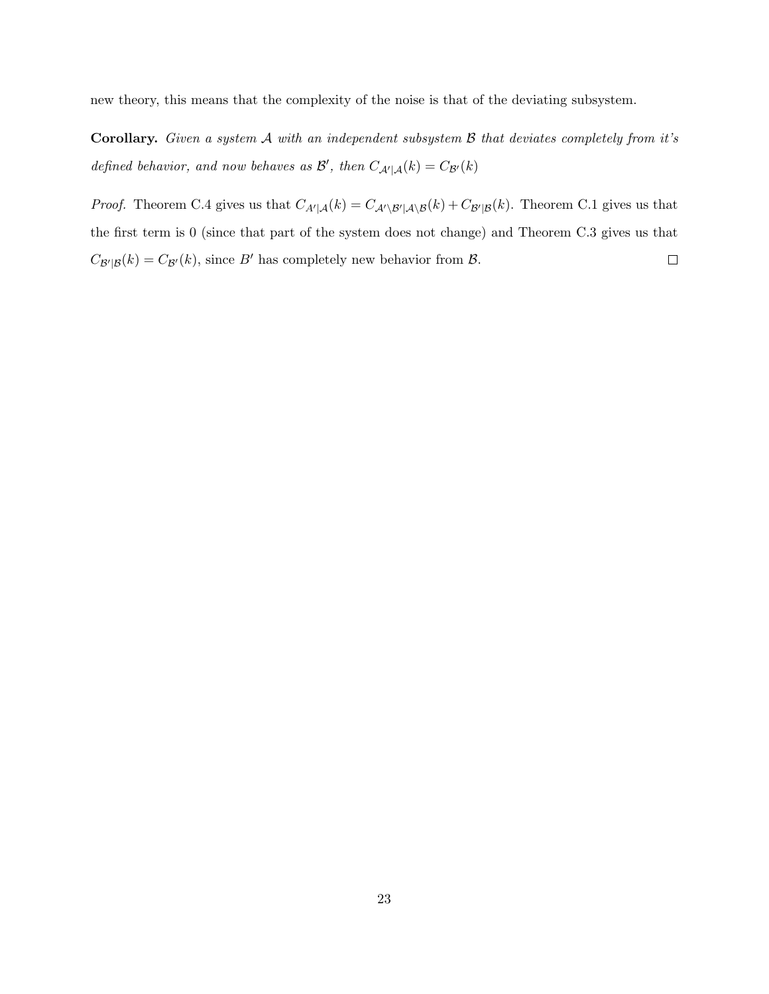new theory, this means that the complexity of the noise is that of the deviating subsystem.

**Corollary.** Given a system  $\mathcal A$  with an independent subsystem  $\mathcal B$  that deviates completely from it's defined behavior, and now behaves as  $\mathcal{B}'$ , then  $C_{\mathcal{A}'|\mathcal{A}}(k) = C_{\mathcal{B}'}(k)$ 

*Proof.* Theorem C.4 gives us that  $C_{A'|\mathcal{A}}(k) = C_{A'\setminus\mathcal{B}'|\mathcal{A}\setminus\mathcal{B}}(k) + C_{\mathcal{B}'|\mathcal{B}}(k)$ . Theorem C.1 gives us that the first term is 0 (since that part of the system does not change) and Theorem C.3 gives us that  $C_{\mathcal{B}'|\mathcal{B}}(k) = C_{\mathcal{B}'}(k)$ , since  $B'$  has completely new behavior from  $\mathcal{B}$ .  $\Box$